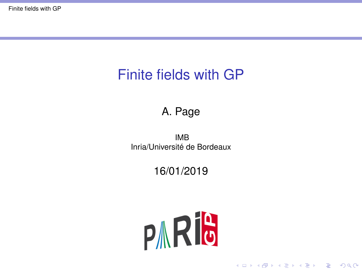# <span id="page-0-0"></span>Finite fields with GP

#### A. Page

IMB Inria/Université de Bordeaux

#### 16/01/2019



K ロ ▶ K @ ▶ K 할 ▶ K 할 ▶ | 할 | K 9 Q Q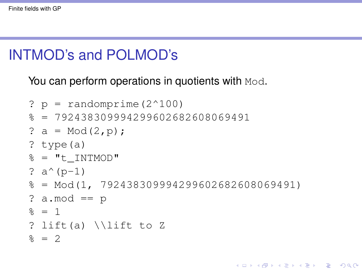# INTMOD's and POLMOD's

#### You can perform operations in quotients with Mod.

```
? p = randomprime (2^{\wedge}100)\frac{1}{6} = 792438309994299602682608069491
? a = Mod(2,p);
? type(a)
\delta = "t INTMOD"
? a^{(p-1)}\frac{1}{6} = Mod(1, 792438309994299602682608069491)
? a.mod == p
\frac{6}{5} = 1
? lift(a) \\lift to Z
\frac{6}{5} = 2
```
KEL KALEY KEY E NAG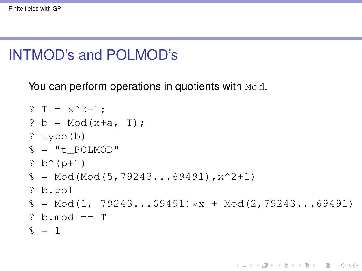# INTMOD's and POLMOD's

You can perform operations in quotients with Mod.

```
? T = x^2+1;? b = Mod(x+a, T);
? type(b)
\theta = "t POLMOD"
? b^{(p+1)}\frac{1}{6} = Mod(Mod(5,79243...69491), x^2+1)
? b.pol
% = Mod(1, 79243...69491)*x + Mod(2,79243...69491)? b. mod == T
\frac{6}{5} = 1
```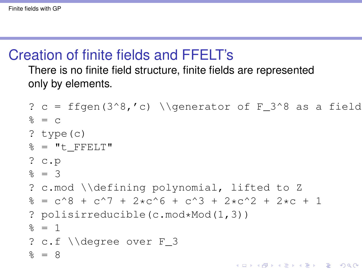## Creation of finite fields and FFELT's

There is no finite field structure, finite fields are represented only by elements.

```
? c = ffgen(3^8,'c) \\generator of F 3^8 as a field
% = C? type(c)
\epsilon = "t FFELT"
? c.p
% = 3? c.mod \\defining polynomial, lifted to Z
\frac{1}{6} = c<sup>^</sup>8 + c<sup>^</sup>7 + 2*c<sup>^</sup>6 + c<sup>^</sup>3 + 2*c<sup>^</sup>2 + 2*c + 1
? polisirreducible(c.mod*Mod(1,3))
\frac{6}{6} = 1
? c.f \\degree over F_3
\frac{6}{5} = 8
```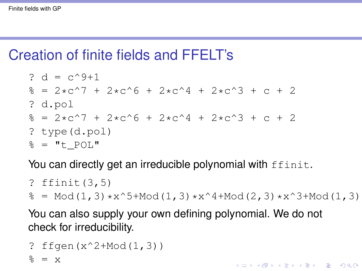# Creation of finite fields and FFELT's

$$
? d = c^9 + 1
$$
  
\n
$$
% e = 2 \times c^7 + 2 \times c^6 + 2 \times c^4 + 2 \times c^3 + c + 2
$$
  
\n
$$
? d.pol
$$
  
\n
$$
% e = 2 \times c^7 + 2 \times c^6 + 2 \times c^4 + 2 \times c^3 + c + 2
$$
  
\n
$$
? type (d.pol)
$$
  
\n
$$
% e = "t_POL"
$$

You can directly get an irreducible polynomial with ffinit.

```
? ffinit(3,5)
\frac{1}{6} = Mod(1,3)*x^5+Mod(1,3)*x^4+Mod(2,3)*x^3+Mod(1,3)
```
KEL KALEY KEY E NAG

You can also supply your own defining polynomial. We do not check for irreducibility.

? 
$$
fgen(x^2+Mod(1, 3))
$$
  
 $\ell = x$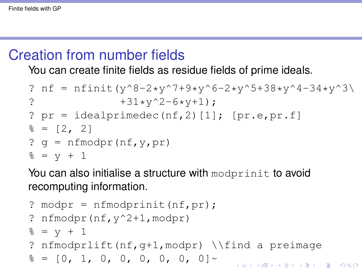# Creation from number fields

You can create finite fields as residue fields of prime ideals.

? nf = nfinit(y^8-2\*y^7+9\*y^6-2\*y^5+38\*y^4-34\*y^3\ ? +31\*y^2-6\*y+1); ? pr = idealprimedec(nf,2)[1]; [pr.e,pr.f] % = [2, 2] ? g = nfmodpr(nf,y,pr) % = y + 1

You can also initialise a structure with modprinit to avoid recomputing information.

```
? modpr = nfmodprinit(nf, pr);
? nfmodpr(nf,y^2+1,modpr)
\frac{6}{6} = v + 1
? nfmodprlift(nf,g+1,modpr) \\find a preimage
\frac{1}{6} = [0, 1, 0, 0, 0, 0, 0, 0]KORK ERKEY E VAN
```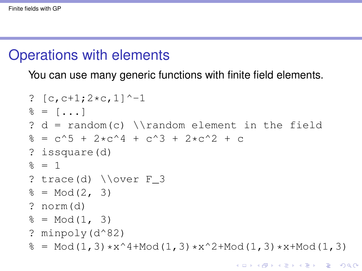#### Operations with elements

You can use many generic functions with finite field elements.

```
? [c, c+1; 2*c, 1] ^-1
\frac{1}{6} = [...]? d = random(c) \\random element in the field
\frac{1}{2} = c<sup>\wedge5 + 2*c<sup>\wedge</sup>4 + c<sup>\wedge</sup>3 + 2*c<sup>\wedge</sup>2 + c</sup>
? issquare(d)
\frac{6}{5} = 1
? trace(d) \overline{F} 3
% = Mod(2, 3)? norm(d)
% = Mod(1, 3)? minpoly(d^82)
\frac{1}{6} = Mod(1,3)*x^4+Mod(1,3)*x^2+Mod(1,3)*x+Mod(1,3)
```
KEL KALEY KEY E NAG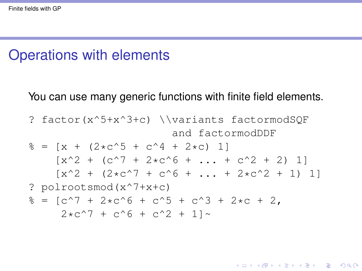# Operations with elements

#### You can use many generic functions with finite field elements.

? factor(x^5+x^3+c) \\variants factormodSQF and factormodDDF % = [x + (2\*c^5 + c^4 + 2\*c) 1] [x^2 + (c^7 + 2\*c^6 + ... + c^2 + 2) 1] [x^2 + (2\*c^7 + c^6 + ... + 2\*c^2 + 1) 1] ? polrootsmod(x^7+x+c) % = [c^7 + 2\*c^6 + c^5 + c^3 + 2\*c + 2, 2\*c^7 + c^6 + c^2 + 1]~

K ロ ▶ K @ ▶ K 할 ▶ K 할 ▶ 이 할 → 9 Q Q\*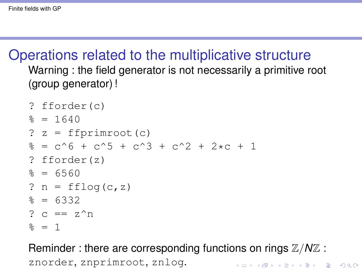## Operations related to the multiplicative structure Warning : the field generator is not necessarily a primitive root (group generator) !

```
? fforder(c)
\frac{6}{5} = 1640
? z = ffprimroot(c)\frac{1}{6} = c<sup>o</sup>6 + c<sup>o</sup>5 + c<sup>o</sup>3 + c<sup>o</sup>2 + 2*c + 1
? fforder(z)
\approx = 6560
? n = fflog(c, z)\approx = 6332
? c = z^n\frac{6}{5} = 1
```
Reminder : there are corresponding functions on rings  $\mathbb{Z}/N\mathbb{Z}$  : znorder, znprimroot, znlog.**KORKARA KERKER DAGA**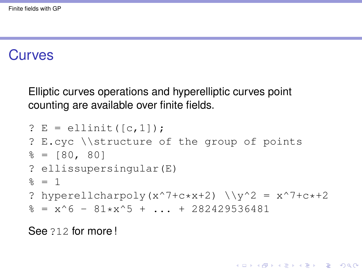## **Curves**

Elliptic curves operations and hyperelliptic curves point counting are available over finite fields.

```
? E = ellinit ([c, 1]);
? E.cyc \\structure of the group of points
\epsilon = [80, 80]? ellissupersingular(E)
\frac{6}{5} = 1
? hyperellcharpoly(x^7+c*x+2) \y^2 = x^7 + c*+2\frac{1}{6} = x^6 - 81*x^5 + ... + 282429536481
```
KEL KALEY KEY E NAG

See 212 for more !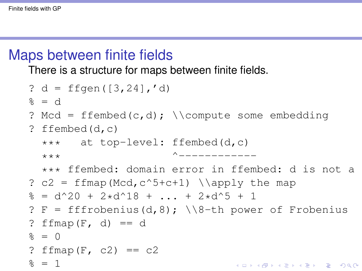# Maps between finite fields

There is a structure for maps between finite fields.

? d = ffgen([3,24],'d) % = d ? Mcd = ffembed(c,d); \\compute some embedding ? ffembed(d,c) \*\*\* at top-level: ffembed(d,c) \*\*\* ^------------ \*\*\* ffembed: domain error in ffembed: d is not a subfield of c ? c2 = ffmap(Mcd,c^5+c+1) \\apply the map % = d^20 + 2\*d^18 + ... + 2\*d^5 + 1 ? F = fffrobenius(d,8); \\8-th power of Frobenius ? ffmap(F, d) == d % = 0 ? ffmap(F, c2) == c2 % = 1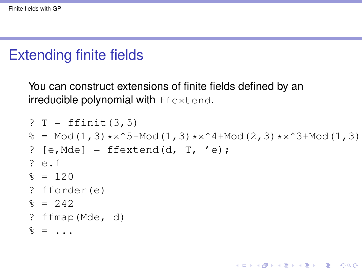# Extending finite fields

You can construct extensions of finite fields defined by an irreducible polynomial with ffextend.

```
? T = ffinit(3,5)\frac{1}{6} = Mod(1,3)*x^5+Mod(1,3)*x^4+Mod(2,3)*x^3+Mod(1,3)
? [e, \text{Mde}] = \text{ffextend}(d, T, 'e);? e.f
\frac{6}{5} = 120
? fforder(e)
\approx = 242
? ffmap(Mde, d)
\frac{6}{6} = ...
```
**KORKARA KERKER DAGA**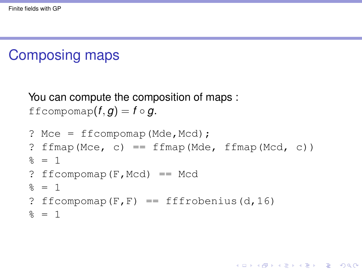# Composing maps

You can compute the composition of maps : ffcompomap $(f, g) = f \circ g$ .

```
? Mce = f_{\text{fcompomap}}(Mde, Mcd);
? ffmap(Mce, c) == ffmap(Mde, ffmap(Mcd, c))
\frac{6}{5} = 1
? ffcompomap(F,Mcd) == Mcd
\frac{6}{5} = 1
? ffcompomap(F, F) == fffrobenius(d, 16)
\frac{6}{6} = 1
```
**KOD KARD KED KE DA ARD KOR**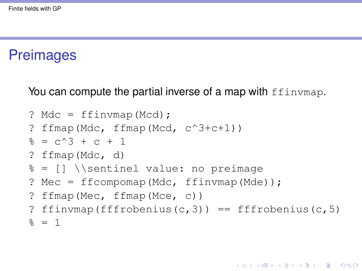#### **Preimages**

You can compute the partial inverse of a map with  $ffinvmap$ .

```
? Mdc = ffinvmap(Mcd);
? ffmap(Mdc, ffmap(Mcd, c^3+c+1))
\frac{1}{2} = c<sup>\wedge</sup>3 + c + 1
? ffmap(Mdc, d)
% = [] \\sentinel value: no preimage
? Mec = ffcompomap(Mdc, ffinvmap(Mde));
? ffmap(Mec, ffmap(Mce, c))
? ffinvmap(fffrobenius(c,3)) == fffrobenius(c,5)
\frac{6}{5} = 1
```
**KORK ERKER ADAM ADA**